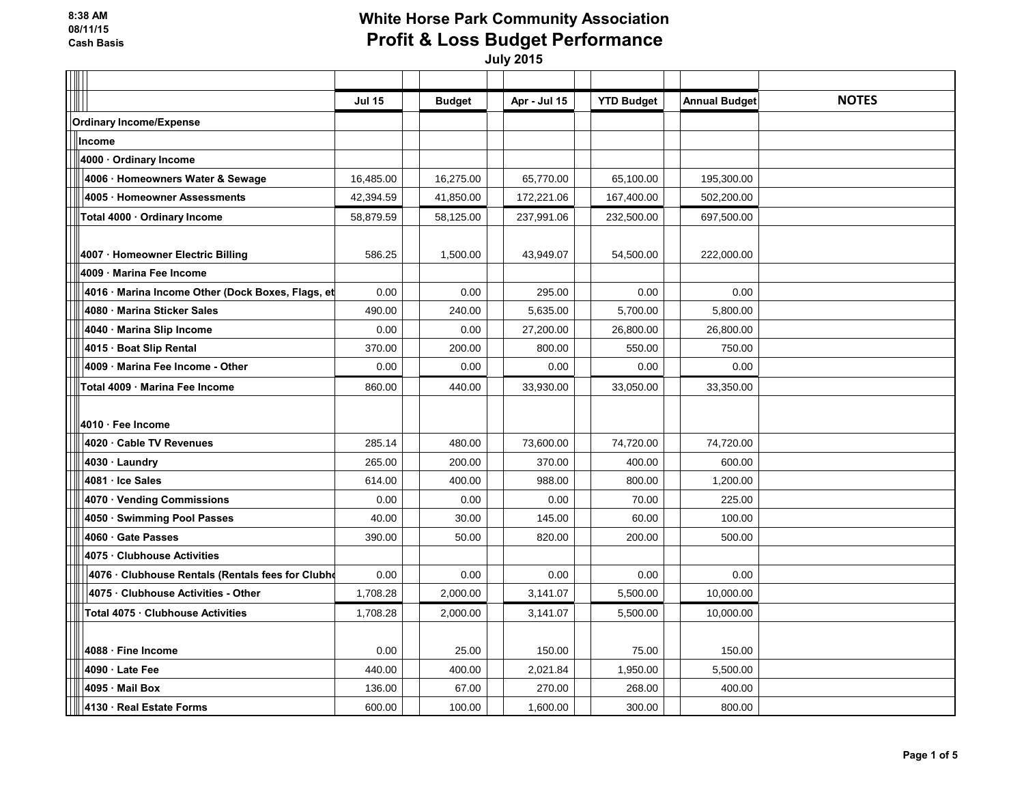|                                                   | <b>Jul 15</b> | <b>Budget</b> | Apr - Jul 15 | <b>YTD Budget</b> | <b>Annual Budget</b> | <b>NOTES</b> |
|---------------------------------------------------|---------------|---------------|--------------|-------------------|----------------------|--------------|
| <b>Ordinary Income/Expense</b>                    |               |               |              |                   |                      |              |
| <b>Income</b>                                     |               |               |              |                   |                      |              |
| 4000 · Ordinary Income                            |               |               |              |                   |                      |              |
| 4006 · Homeowners Water & Sewage                  | 16,485.00     | 16,275.00     | 65,770.00    | 65,100.00         | 195,300.00           |              |
| 4005 · Homeowner Assessments                      | 42,394.59     | 41,850.00     | 172,221.06   | 167,400.00        | 502,200.00           |              |
| Total 4000 · Ordinary Income                      | 58,879.59     | 58,125.00     | 237,991.06   | 232,500.00        | 697,500.00           |              |
|                                                   |               |               |              |                   |                      |              |
| 4007 · Homeowner Electric Billing                 | 586.25        | 1,500.00      | 43,949.07    | 54,500.00         | 222,000.00           |              |
| 4009 Marina Fee Income                            |               |               |              |                   |                      |              |
| 4016 · Marina Income Other (Dock Boxes, Flags, et | 0.00          | 0.00          | 295.00       | 0.00              | 0.00                 |              |
| 4080 Marina Sticker Sales                         | 490.00        | 240.00        | 5,635.00     | 5,700.00          | 5,800.00             |              |
| 4040 Marina Slip Income                           | 0.00          | 0.00          | 27,200.00    | 26,800.00         | 26,800.00            |              |
| 4015 Boat Slip Rental                             | 370.00        | 200.00        | 800.00       | 550.00            | 750.00               |              |
| 4009 Marina Fee Income - Other                    | 0.00          | 0.00          | 0.00         | 0.00              | 0.00                 |              |
| Total 4009 · Marina Fee Income                    | 860.00        | 440.00        | 33,930.00    | 33,050.00         | 33,350.00            |              |
|                                                   |               |               |              |                   |                      |              |
| 4010 · Fee Income                                 |               |               |              |                   |                      |              |
| 4020 Cable TV Revenues                            | 285.14        | 480.00        | 73,600.00    | 74,720.00         | 74,720.00            |              |
| 4030 · Laundry                                    | 265.00        | 200.00        | 370.00       | 400.00            | 600.00               |              |
| 4081 · Ice Sales                                  | 614.00        | 400.00        | 988.00       | 800.00            | 1,200.00             |              |
| 4070 Vending Commissions                          | 0.00          | 0.00          | 0.00         | 70.00             | 225.00               |              |
| 4050 · Swimming Pool Passes                       | 40.00         | 30.00         | 145.00       | 60.00             | 100.00               |              |
| 4060 Gate Passes                                  | 390.00        | 50.00         | 820.00       | 200.00            | 500.00               |              |
| 4075 Clubhouse Activities                         |               |               |              |                   |                      |              |
| 4076 · Clubhouse Rentals (Rentals fees for Clubho | 0.00          | 0.00          | 0.00         | 0.00              | 0.00                 |              |
| 4075 Clubhouse Activities - Other                 | 1,708.28      | 2,000.00      | 3,141.07     | 5,500.00          | 10,000.00            |              |
| Total 4075 · Clubhouse Activities                 | 1,708.28      | 2,000.00      | 3,141.07     | 5,500.00          | 10,000.00            |              |
|                                                   |               |               |              |                   |                      |              |
| 4088 Fine Income                                  | 0.00          | 25.00         | 150.00       | 75.00             | 150.00               |              |
| 4090 Late Fee                                     | 440.00        | 400.00        | 2,021.84     | 1,950.00          | 5,500.00             |              |
| 4095 Mail Box                                     | 136.00        | 67.00         | 270.00       | 268.00            | 400.00               |              |
| 4130 · Real Estate Forms                          | 600.00        | 100.00        | 1,600.00     | 300.00            | 800.00               |              |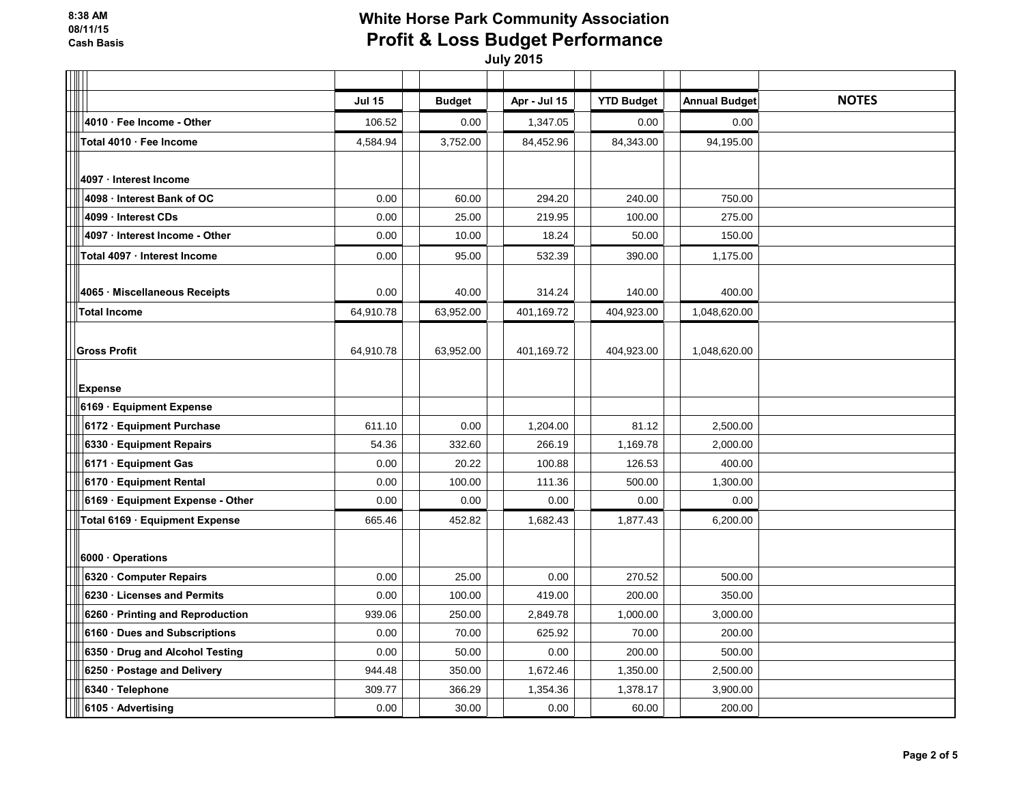| I |                                  |               |               |              |                   |                      |              |
|---|----------------------------------|---------------|---------------|--------------|-------------------|----------------------|--------------|
|   |                                  | <b>Jul 15</b> | <b>Budget</b> | Apr - Jul 15 | <b>YTD Budget</b> | <b>Annual Budget</b> | <b>NOTES</b> |
|   | 4010 · Fee Income - Other        | 106.52        | 0.00          | 1,347.05     | 0.00              | 0.00                 |              |
|   | Total 4010 · Fee Income          | 4,584.94      | 3,752.00      | 84,452.96    | 84,343.00         | 94,195.00            |              |
|   |                                  |               |               |              |                   |                      |              |
|   | 4097 · Interest Income           |               |               |              |                   |                      |              |
|   | 4098 Interest Bank of OC         | 0.00          | 60.00         | 294.20       | 240.00            | 750.00               |              |
|   | 4099 · Interest CDs              | 0.00          | 25.00         | 219.95       | 100.00            | 275.00               |              |
|   | 4097 · Interest Income - Other   | 0.00          | 10.00         | 18.24        | 50.00             | 150.00               |              |
|   | Total 4097 · Interest Income     | 0.00          | 95.00         | 532.39       | 390.00            | 1,175.00             |              |
|   |                                  |               |               |              |                   |                      |              |
|   | 4065 · Miscellaneous Receipts    | 0.00          | 40.00         | 314.24       | 140.00            | 400.00               |              |
|   | <b>Total Income</b>              | 64,910.78     | 63,952.00     | 401,169.72   | 404,923.00        | 1,048,620.00         |              |
|   |                                  |               |               |              |                   |                      |              |
|   | <b>Gross Profit</b>              | 64,910.78     | 63,952.00     | 401,169.72   | 404,923.00        | 1,048,620.00         |              |
|   |                                  |               |               |              |                   |                      |              |
|   | <b>Expense</b>                   |               |               |              |                   |                      |              |
|   | 6169 · Equipment Expense         |               |               |              |                   |                      |              |
|   | 6172 Equipment Purchase          | 611.10        | 0.00          | 1,204.00     | 81.12             | 2,500.00             |              |
|   | 6330 Equipment Repairs           | 54.36         | 332.60        | 266.19       | 1,169.78          | 2,000.00             |              |
|   | 6171 · Equipment Gas             | 0.00          | 20.22         | 100.88       | 126.53            | 400.00               |              |
|   | 6170 · Equipment Rental          | 0.00          | 100.00        | 111.36       | 500.00            | 1,300.00             |              |
|   | 6169 · Equipment Expense - Other | 0.00          | 0.00          | 0.00         | 0.00              | 0.00                 |              |
|   | Total 6169 · Equipment Expense   | 665.46        | 452.82        | 1,682.43     | 1,877.43          | 6,200.00             |              |
|   |                                  |               |               |              |                   |                      |              |
|   | 6000 · Operations                |               |               |              |                   |                      |              |
|   | 6320 Computer Repairs            | 0.00          | 25.00         | 0.00         | 270.52            | 500.00               |              |
|   | 6230 · Licenses and Permits      | 0.00          | 100.00        | 419.00       | 200.00            | 350.00               |              |
|   | 6260 · Printing and Reproduction | 939.06        | 250.00        | 2,849.78     | 1,000.00          | 3,000.00             |              |
|   | 6160 · Dues and Subscriptions    | 0.00          | 70.00         | 625.92       | 70.00             | 200.00               |              |
|   | 6350 · Drug and Alcohol Testing  | 0.00          | 50.00         | 0.00         | 200.00            | 500.00               |              |
|   | 6250 · Postage and Delivery      | 944.48        | 350.00        | 1,672.46     | 1,350.00          | 2,500.00             |              |
|   | 6340 · Telephone                 | 309.77        | 366.29        | 1,354.36     | 1,378.17          | 3,900.00             |              |
|   | 6105 Advertising                 | 0.00          | 30.00         | 0.00         | 60.00             | 200.00               |              |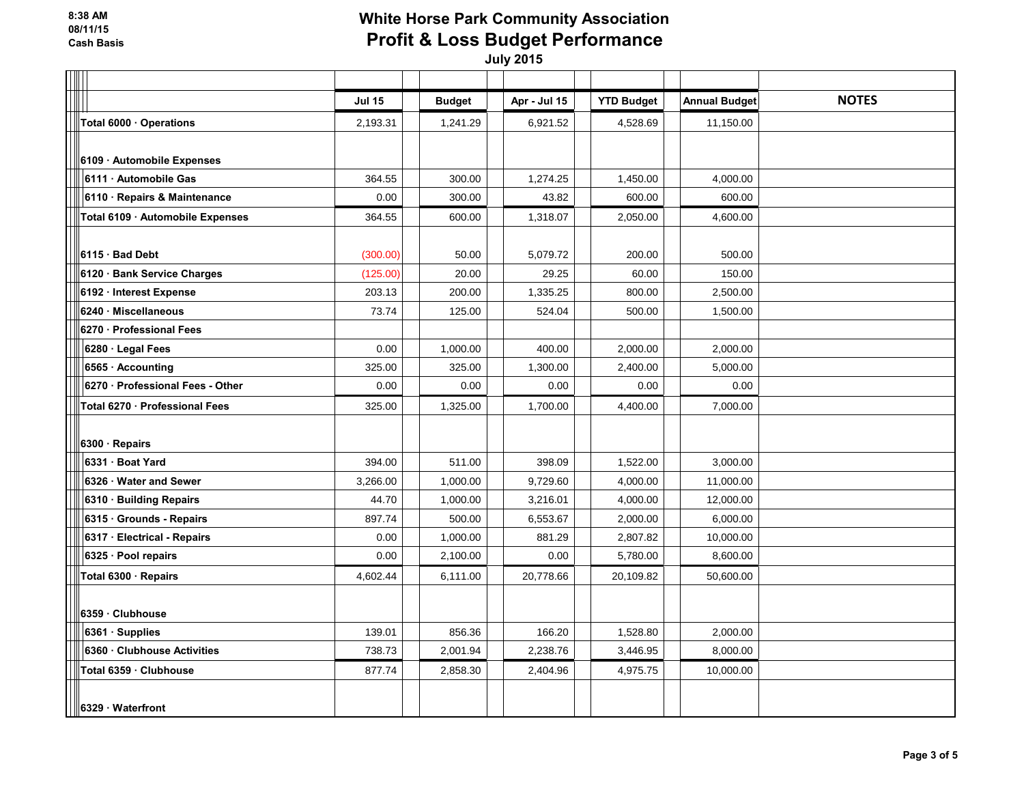|                                  | <b>Jul 15</b> | <b>Budget</b> | Apr - Jul 15 | <b>YTD Budget</b> | <b>Annual Budget</b> | <b>NOTES</b> |
|----------------------------------|---------------|---------------|--------------|-------------------|----------------------|--------------|
| Total 6000 · Operations          | 2,193.31      | 1,241.29      | 6,921.52     | 4,528.69          | 11,150.00            |              |
|                                  |               |               |              |                   |                      |              |
| 6109 · Automobile Expenses       |               |               |              |                   |                      |              |
| 6111 Automobile Gas              | 364.55        | 300.00        | 1,274.25     | 1,450.00          | 4,000.00             |              |
| 6110 Repairs & Maintenance       | 0.00          | 300.00        | 43.82        | 600.00            | 600.00               |              |
| Total 6109 · Automobile Expenses | 364.55        | 600.00        | 1,318.07     | 2,050.00          | 4,600.00             |              |
|                                  |               |               |              |                   |                      |              |
| 6115 · Bad Debt                  | (300.00)      | 50.00         | 5,079.72     | 200.00            | 500.00               |              |
| 6120 · Bank Service Charges      | (125.00)      | 20.00         | 29.25        | 60.00             | 150.00               |              |
| 6192 · Interest Expense          | 203.13        | 200.00        | 1,335.25     | 800.00            | 2,500.00             |              |
| 6240 · Miscellaneous             | 73.74         | 125.00        | 524.04       | 500.00            | 1,500.00             |              |
| 6270 · Professional Fees         |               |               |              |                   |                      |              |
| 6280 Legal Fees                  | 0.00          | 1,000.00      | 400.00       | 2,000.00          | 2,000.00             |              |
| 6565 · Accounting                | 325.00        | 325.00        | 1,300.00     | 2,400.00          | 5,000.00             |              |
| 6270 · Professional Fees - Other | 0.00          | 0.00          | 0.00         | 0.00              | 0.00                 |              |
| Total 6270 · Professional Fees   | 325.00        | 1,325.00      | 1,700.00     | 4,400.00          | 7,000.00             |              |
|                                  |               |               |              |                   |                      |              |
| 6300 · Repairs                   |               |               |              |                   |                      |              |
| 6331 Boat Yard                   | 394.00        | 511.00        | 398.09       | 1,522.00          | 3,000.00             |              |
| 6326 Water and Sewer             | 3,266.00      | 1,000.00      | 9,729.60     | 4,000.00          | 11,000.00            |              |
| 6310 · Building Repairs          | 44.70         | 1,000.00      | 3,216.01     | 4,000.00          | 12,000.00            |              |
| 6315 · Grounds - Repairs         | 897.74        | 500.00        | 6,553.67     | 2,000.00          | 6,000.00             |              |
| 6317 · Electrical - Repairs      | 0.00          | 1,000.00      | 881.29       | 2,807.82          | 10,000.00            |              |
| 6325 · Pool repairs              | 0.00          | 2,100.00      | 0.00         | 5,780.00          | 8,600.00             |              |
| Total 6300 · Repairs             | 4,602.44      | 6,111.00      | 20,778.66    | 20,109.82         | 50,600.00            |              |
|                                  |               |               |              |                   |                      |              |
| 6359 Clubhouse                   |               |               |              |                   |                      |              |
| 6361 Supplies                    | 139.01        | 856.36        | 166.20       | 1,528.80          | 2,000.00             |              |
| 6360 Clubhouse Activities        | 738.73        | 2,001.94      | 2,238.76     | 3,446.95          | 8,000.00             |              |
| Total 6359 · Clubhouse           | 877.74        | 2,858.30      | 2,404.96     | 4,975.75          | 10,000.00            |              |
|                                  |               |               |              |                   |                      |              |
| 6329 Waterfront                  |               |               |              |                   |                      |              |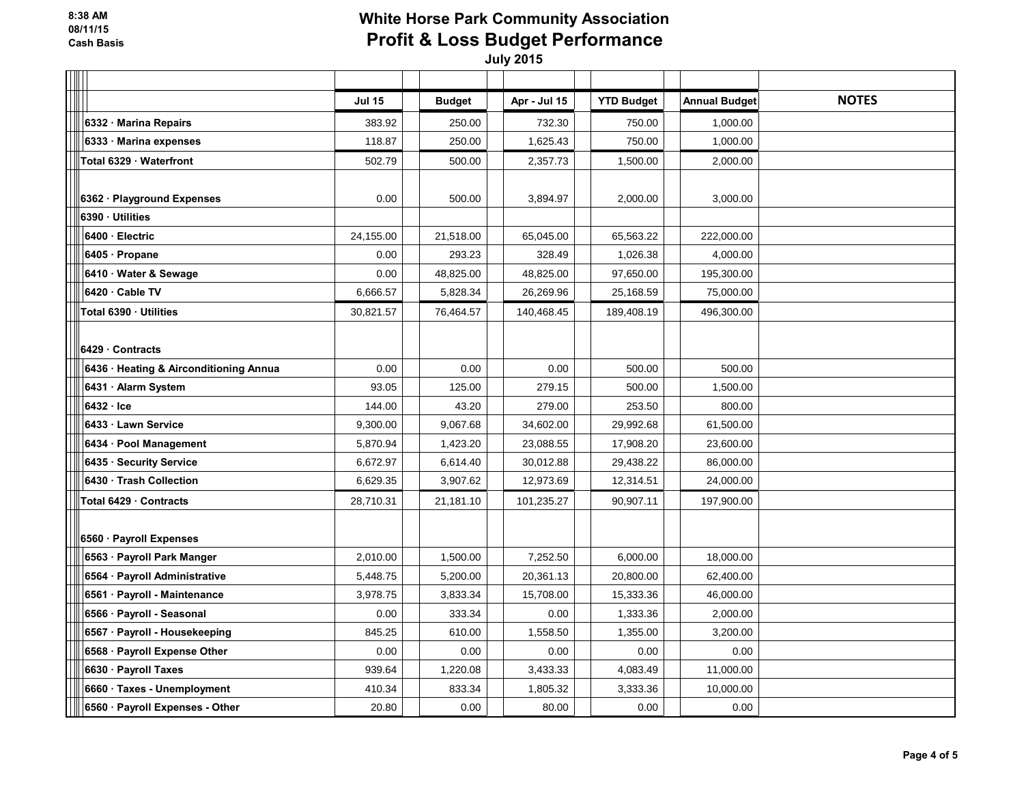| ║                                      |               |               |              |                   |                      |              |
|----------------------------------------|---------------|---------------|--------------|-------------------|----------------------|--------------|
|                                        | <b>Jul 15</b> | <b>Budget</b> | Apr - Jul 15 | <b>YTD Budget</b> | <b>Annual Budget</b> | <b>NOTES</b> |
| 6332 Marina Repairs                    | 383.92        | 250.00        | 732.30       | 750.00            | 1,000.00             |              |
| 6333 Marina expenses                   | 118.87        | 250.00        | 1,625.43     | 750.00            | 1,000.00             |              |
| Total 6329 · Waterfront                | 502.79        | 500.00        | 2,357.73     | 1,500.00          | 2,000.00             |              |
|                                        |               |               |              |                   |                      |              |
| 6362 · Playground Expenses             | 0.00          | 500.00        | 3,894.97     | 2,000.00          | 3,000.00             |              |
| 6390 · Utilities                       |               |               |              |                   |                      |              |
| 6400 · Electric                        | 24,155.00     | 21,518.00     | 65,045.00    | 65,563.22         | 222,000.00           |              |
| 6405 · Propane                         | 0.00          | 293.23        | 328.49       | 1,026.38          | 4,000.00             |              |
| 6410 · Water & Sewage                  | 0.00          | 48,825.00     | 48,825.00    | 97,650.00         | 195,300.00           |              |
| 6420 · Cable TV                        | 6,666.57      | 5,828.34      | 26,269.96    | 25,168.59         | 75,000.00            |              |
| Total 6390 · Utilities                 | 30.821.57     | 76,464.57     | 140,468.45   | 189,408.19        | 496,300.00           |              |
|                                        |               |               |              |                   |                      |              |
| 6429 Contracts                         |               |               |              |                   |                      |              |
| 6436 · Heating & Airconditioning Annua | 0.00          | 0.00          | 0.00         | 500.00            | 500.00               |              |
| 6431 · Alarm System                    | 93.05         | 125.00        | 279.15       | 500.00            | 1,500.00             |              |
| $6432 -$ Ice                           | 144.00        | 43.20         | 279.00       | 253.50            | 800.00               |              |
| 6433 Lawn Service                      | 9,300.00      | 9,067.68      | 34,602.00    | 29,992.68         | 61,500.00            |              |
| 6434 · Pool Management                 | 5,870.94      | 1,423.20      | 23,088.55    | 17,908.20         | 23,600.00            |              |
| 6435 · Security Service                | 6,672.97      | 6,614.40      | 30,012.88    | 29,438.22         | 86,000.00            |              |
| 6430 Trash Collection                  | 6,629.35      | 3,907.62      | 12,973.69    | 12,314.51         | 24,000.00            |              |
| Total 6429 Contracts                   | 28,710.31     | 21,181.10     | 101,235.27   | 90,907.11         | 197,900.00           |              |
|                                        |               |               |              |                   |                      |              |
| 6560 · Payroll Expenses                |               |               |              |                   |                      |              |
| 6563 · Payroll Park Manger             | 2,010.00      | 1,500.00      | 7,252.50     | 6,000.00          | 18,000.00            |              |
| 6564 · Payroll Administrative          | 5,448.75      | 5,200.00      | 20,361.13    | 20,800.00         | 62,400.00            |              |
| 6561 · Payroll - Maintenance           | 3,978.75      | 3,833.34      | 15,708.00    | 15,333.36         | 46,000.00            |              |
| 6566 · Payroll - Seasonal              | 0.00          | 333.34        | 0.00         | 1,333.36          | 2,000.00             |              |
| 6567 · Payroll - Housekeeping          | 845.25        | 610.00        | 1,558.50     | 1,355.00          | 3,200.00             |              |
| 6568 · Payroll Expense Other           | 0.00          | 0.00          | 0.00         | 0.00              | 0.00                 |              |
| 6630 · Payroll Taxes                   | 939.64        | 1,220.08      | 3,433.33     | 4,083.49          | 11,000.00            |              |
| 6660 · Taxes - Unemployment            | 410.34        | 833.34        | 1,805.32     | 3,333.36          | 10,000.00            |              |
| 6560 · Payroll Expenses - Other        | 20.80         | 0.00          | 80.00        | 0.00              | 0.00                 |              |